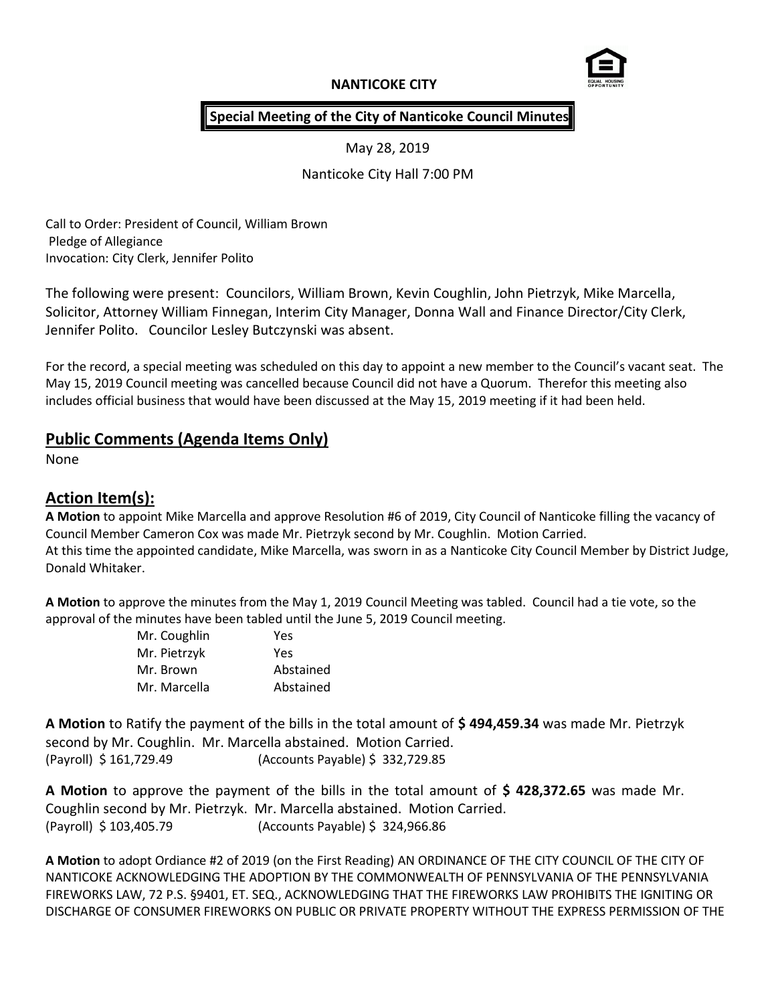# **NANTICOKE CITY**



## **Special Meeting of the City of Nanticoke Council Minutes**

May 28, 2019

Nanticoke City Hall 7:00 PM

Call to Order: President of Council, William Brown Pledge of Allegiance Invocation: City Clerk, Jennifer Polito

The following were present: Councilors, William Brown, Kevin Coughlin, John Pietrzyk, Mike Marcella, Solicitor, Attorney William Finnegan, Interim City Manager, Donna Wall and Finance Director/City Clerk, Jennifer Polito. Councilor Lesley Butczynski was absent.

For the record, a special meeting was scheduled on this day to appoint a new member to the Council's vacant seat. The May 15, 2019 Council meeting was cancelled because Council did not have a Quorum. Therefor this meeting also includes official business that would have been discussed at the May 15, 2019 meeting if it had been held.

# **Public Comments (Agenda Items Only)**

None

# **Action Item(s):**

**A Motion** to appoint Mike Marcella and approve Resolution #6 of 2019, City Council of Nanticoke filling the vacancy of Council Member Cameron Cox was made Mr. Pietrzyk second by Mr. Coughlin. Motion Carried. At this time the appointed candidate, Mike Marcella, was sworn in as a Nanticoke City Council Member by District Judge, Donald Whitaker.

**A Motion** to approve the minutes from the May 1, 2019 Council Meeting was tabled. Council had a tie vote, so the approval of the minutes have been tabled until the June 5, 2019 Council meeting.

| Mr. Coughlin | Yes       |
|--------------|-----------|
| Mr. Pietrzyk | Yes       |
| Mr. Brown    | Abstained |
| Mr. Marcella | Abstained |

**A Motion** to Ratify the payment of the bills in the total amount of **\$ 494,459.34** was made Mr. Pietrzyk second by Mr. Coughlin. Mr. Marcella abstained. Motion Carried. (Payroll) \$ 161,729.49 (Accounts Payable) \$ 332,729.85

**A Motion** to approve the payment of the bills in the total amount of **\$ 428,372.65** was made Mr. Coughlin second by Mr. Pietrzyk. Mr. Marcella abstained. Motion Carried. (Payroll) \$ 103,405.79 (Accounts Payable) \$ 324,966.86

**A Motion** to adopt Ordiance #2 of 2019 (on the First Reading) AN ORDINANCE OF THE CITY COUNCIL OF THE CITY OF NANTICOKE ACKNOWLEDGING THE ADOPTION BY THE COMMONWEALTH OF PENNSYLVANIA OF THE PENNSYLVANIA FIREWORKS LAW, 72 P.S. §9401, ET. SEQ., ACKNOWLEDGING THAT THE FIREWORKS LAW PROHIBITS THE IGNITING OR DISCHARGE OF CONSUMER FIREWORKS ON PUBLIC OR PRIVATE PROPERTY WITHOUT THE EXPRESS PERMISSION OF THE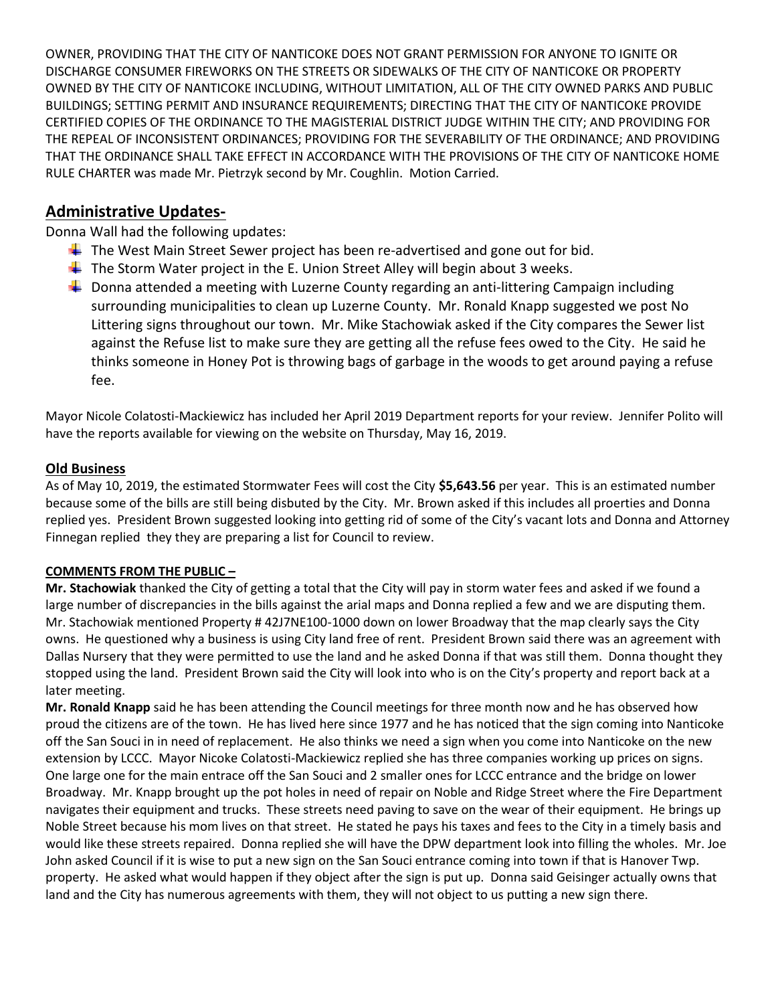OWNER, PROVIDING THAT THE CITY OF NANTICOKE DOES NOT GRANT PERMISSION FOR ANYONE TO IGNITE OR DISCHARGE CONSUMER FIREWORKS ON THE STREETS OR SIDEWALKS OF THE CITY OF NANTICOKE OR PROPERTY OWNED BY THE CITY OF NANTICOKE INCLUDING, WITHOUT LIMITATION, ALL OF THE CITY OWNED PARKS AND PUBLIC BUILDINGS; SETTING PERMIT AND INSURANCE REQUIREMENTS; DIRECTING THAT THE CITY OF NANTICOKE PROVIDE CERTIFIED COPIES OF THE ORDINANCE TO THE MAGISTERIAL DISTRICT JUDGE WITHIN THE CITY; AND PROVIDING FOR THE REPEAL OF INCONSISTENT ORDINANCES; PROVIDING FOR THE SEVERABILITY OF THE ORDINANCE; AND PROVIDING THAT THE ORDINANCE SHALL TAKE EFFECT IN ACCORDANCE WITH THE PROVISIONS OF THE CITY OF NANTICOKE HOME RULE CHARTER was made Mr. Pietrzyk second by Mr. Coughlin. Motion Carried.

# **Administrative Updates-**

Donna Wall had the following updates:

- $\ddot{\phantom{1}}$  The West Main Street Sewer project has been re-advertised and gone out for bid.
- $\ddot{\bullet}$  The Storm Water project in the E. Union Street Alley will begin about 3 weeks.
- $\ddot{\phantom{1}}$  Donna attended a meeting with Luzerne County regarding an anti-littering Campaign including surrounding municipalities to clean up Luzerne County. Mr. Ronald Knapp suggested we post No Littering signs throughout our town. Mr. Mike Stachowiak asked if the City compares the Sewer list against the Refuse list to make sure they are getting all the refuse fees owed to the City. He said he thinks someone in Honey Pot is throwing bags of garbage in the woods to get around paying a refuse fee.

Mayor Nicole Colatosti-Mackiewicz has included her April 2019 Department reports for your review. Jennifer Polito will have the reports available for viewing on the website on Thursday, May 16, 2019.

## **Old Business**

As of May 10, 2019, the estimated Stormwater Fees will cost the City **\$5,643.56** per year. This is an estimated number because some of the bills are still being disbuted by the City. Mr. Brown asked if this includes all proerties and Donna replied yes. President Brown suggested looking into getting rid of some of the City's vacant lots and Donna and Attorney Finnegan replied they they are preparing a list for Council to review.

## **COMMENTS FROM THE PUBLIC –**

**Mr. Stachowiak** thanked the City of getting a total that the City will pay in storm water fees and asked if we found a large number of discrepancies in the bills against the arial maps and Donna replied a few and we are disputing them. Mr. Stachowiak mentioned Property # 42J7NE100-1000 down on lower Broadway that the map clearly says the City owns. He questioned why a business is using City land free of rent. President Brown said there was an agreement with Dallas Nursery that they were permitted to use the land and he asked Donna if that was still them. Donna thought they stopped using the land. President Brown said the City will look into who is on the City's property and report back at a later meeting.

**Mr. Ronald Knapp** said he has been attending the Council meetings for three month now and he has observed how proud the citizens are of the town. He has lived here since 1977 and he has noticed that the sign coming into Nanticoke off the San Souci in in need of replacement. He also thinks we need a sign when you come into Nanticoke on the new extension by LCCC. Mayor Nicoke Colatosti-Mackiewicz replied she has three companies working up prices on signs. One large one for the main entrace off the San Souci and 2 smaller ones for LCCC entrance and the bridge on lower Broadway. Mr. Knapp brought up the pot holes in need of repair on Noble and Ridge Street where the Fire Department navigates their equipment and trucks. These streets need paving to save on the wear of their equipment. He brings up Noble Street because his mom lives on that street. He stated he pays his taxes and fees to the City in a timely basis and would like these streets repaired. Donna replied she will have the DPW department look into filling the wholes. Mr. Joe John asked Council if it is wise to put a new sign on the San Souci entrance coming into town if that is Hanover Twp. property. He asked what would happen if they object after the sign is put up. Donna said Geisinger actually owns that land and the City has numerous agreements with them, they will not object to us putting a new sign there.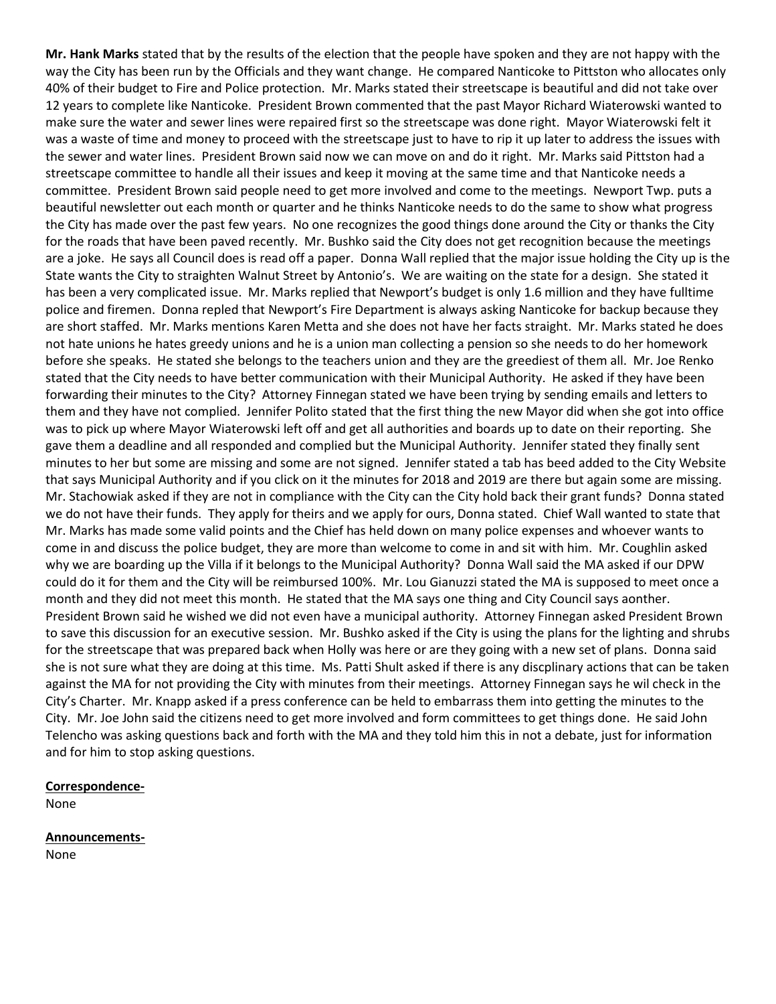**Mr. Hank Marks** stated that by the results of the election that the people have spoken and they are not happy with the way the City has been run by the Officials and they want change. He compared Nanticoke to Pittston who allocates only 40% of their budget to Fire and Police protection. Mr. Marks stated their streetscape is beautiful and did not take over 12 years to complete like Nanticoke. President Brown commented that the past Mayor Richard Wiaterowski wanted to make sure the water and sewer lines were repaired first so the streetscape was done right. Mayor Wiaterowski felt it was a waste of time and money to proceed with the streetscape just to have to rip it up later to address the issues with the sewer and water lines. President Brown said now we can move on and do it right. Mr. Marks said Pittston had a streetscape committee to handle all their issues and keep it moving at the same time and that Nanticoke needs a committee. President Brown said people need to get more involved and come to the meetings. Newport Twp. puts a beautiful newsletter out each month or quarter and he thinks Nanticoke needs to do the same to show what progress the City has made over the past few years. No one recognizes the good things done around the City or thanks the City for the roads that have been paved recently. Mr. Bushko said the City does not get recognition because the meetings are a joke. He says all Council does is read off a paper. Donna Wall replied that the major issue holding the City up is the State wants the City to straighten Walnut Street by Antonio's. We are waiting on the state for a design. She stated it has been a very complicated issue. Mr. Marks replied that Newport's budget is only 1.6 million and they have fulltime police and firemen. Donna repled that Newport's Fire Department is always asking Nanticoke for backup because they are short staffed. Mr. Marks mentions Karen Metta and she does not have her facts straight. Mr. Marks stated he does not hate unions he hates greedy unions and he is a union man collecting a pension so she needs to do her homework before she speaks. He stated she belongs to the teachers union and they are the greediest of them all. Mr. Joe Renko stated that the City needs to have better communication with their Municipal Authority. He asked if they have been forwarding their minutes to the City? Attorney Finnegan stated we have been trying by sending emails and letters to them and they have not complied. Jennifer Polito stated that the first thing the new Mayor did when she got into office was to pick up where Mayor Wiaterowski left off and get all authorities and boards up to date on their reporting. She gave them a deadline and all responded and complied but the Municipal Authority. Jennifer stated they finally sent minutes to her but some are missing and some are not signed. Jennifer stated a tab has beed added to the City Website that says Municipal Authority and if you click on it the minutes for 2018 and 2019 are there but again some are missing. Mr. Stachowiak asked if they are not in compliance with the City can the City hold back their grant funds? Donna stated we do not have their funds. They apply for theirs and we apply for ours, Donna stated. Chief Wall wanted to state that Mr. Marks has made some valid points and the Chief has held down on many police expenses and whoever wants to come in and discuss the police budget, they are more than welcome to come in and sit with him. Mr. Coughlin asked why we are boarding up the Villa if it belongs to the Municipal Authority? Donna Wall said the MA asked if our DPW could do it for them and the City will be reimbursed 100%. Mr. Lou Gianuzzi stated the MA is supposed to meet once a month and they did not meet this month. He stated that the MA says one thing and City Council says aonther. President Brown said he wished we did not even have a municipal authority. Attorney Finnegan asked President Brown to save this discussion for an executive session. Mr. Bushko asked if the City is using the plans for the lighting and shrubs for the streetscape that was prepared back when Holly was here or are they going with a new set of plans. Donna said she is not sure what they are doing at this time. Ms. Patti Shult asked if there is any discplinary actions that can be taken against the MA for not providing the City with minutes from their meetings. Attorney Finnegan says he wil check in the City's Charter. Mr. Knapp asked if a press conference can be held to embarrass them into getting the minutes to the City. Mr. Joe John said the citizens need to get more involved and form committees to get things done. He said John Telencho was asking questions back and forth with the MA and they told him this in not a debate, just for information and for him to stop asking questions.

#### **Correspondence-**

None

**Announcements-**

None